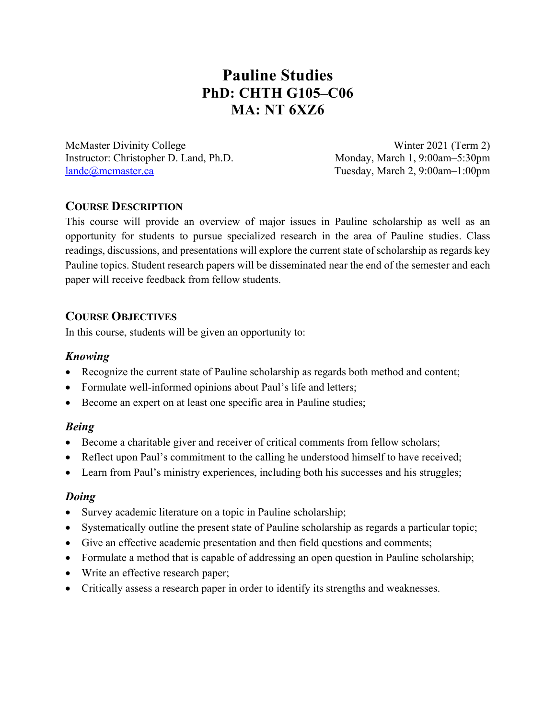# **Pauline Studies PhD: CHTH G105–C06 MA: NT 6XZ6**

McMaster Divinity College Winter 2021 (Term 2) Instructor: Christopher D. Land, Ph.D. Monday, March 1, 9:00am–5:30pm landc@mcmaster.ca Tuesday, March 2, 9:00am–1:00pm

# **COURSE DESCRIPTION**

This course will provide an overview of major issues in Pauline scholarship as well as an opportunity for students to pursue specialized research in the area of Pauline studies. Class readings, discussions, and presentations will explore the current state of scholarship as regards key Pauline topics. Student research papers will be disseminated near the end of the semester and each paper will receive feedback from fellow students.

# **COURSE OBJECTIVES**

In this course, students will be given an opportunity to:

# *Knowing*

- Recognize the current state of Pauline scholarship as regards both method and content;
- Formulate well-informed opinions about Paul's life and letters;
- Become an expert on at least one specific area in Pauline studies;

## *Being*

- Become a charitable giver and receiver of critical comments from fellow scholars;
- Reflect upon Paul's commitment to the calling he understood himself to have received;
- Learn from Paul's ministry experiences, including both his successes and his struggles;

## *Doing*

- Survey academic literature on a topic in Pauline scholarship;
- Systematically outline the present state of Pauline scholarship as regards a particular topic;
- Give an effective academic presentation and then field questions and comments;
- Formulate a method that is capable of addressing an open question in Pauline scholarship;
- Write an effective research paper;
- Critically assess a research paper in order to identify its strengths and weaknesses.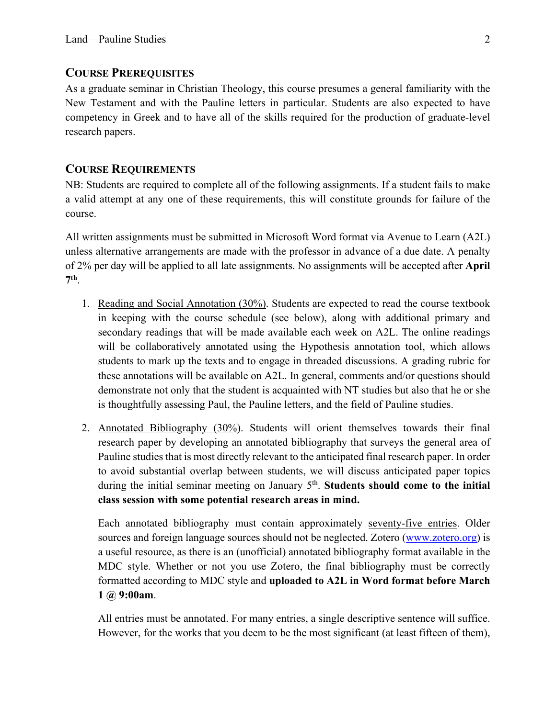#### **COURSE PREREQUISITES**

As a graduate seminar in Christian Theology, this course presumes a general familiarity with the New Testament and with the Pauline letters in particular. Students are also expected to have competency in Greek and to have all of the skills required for the production of graduate-level research papers.

## **COURSE REQUIREMENTS**

NB: Students are required to complete all of the following assignments. If a student fails to make a valid attempt at any one of these requirements, this will constitute grounds for failure of the course.

All written assignments must be submitted in Microsoft Word format via Avenue to Learn (A2L) unless alternative arrangements are made with the professor in advance of a due date. A penalty of 2% per day will be applied to all late assignments. No assignments will be accepted after **April 7th**.

- 1. Reading and Social Annotation (30%). Students are expected to read the course textbook in keeping with the course schedule (see below), along with additional primary and secondary readings that will be made available each week on A2L. The online readings will be collaboratively annotated using the Hypothesis annotation tool, which allows students to mark up the texts and to engage in threaded discussions. A grading rubric for these annotations will be available on A2L. In general, comments and/or questions should demonstrate not only that the student is acquainted with NT studies but also that he or she is thoughtfully assessing Paul, the Pauline letters, and the field of Pauline studies.
- 2. Annotated Bibliography (30%). Students will orient themselves towards their final research paper by developing an annotated bibliography that surveys the general area of Pauline studies that is most directly relevant to the anticipated final research paper. In order to avoid substantial overlap between students, we will discuss anticipated paper topics during the initial seminar meeting on January 5<sup>th</sup>. Students should come to the initial **class session with some potential research areas in mind.**

Each annotated bibliography must contain approximately seventy-five entries. Older sources and foreign language sources should not be neglected. Zotero (www.zotero.org) is a useful resource, as there is an (unofficial) annotated bibliography format available in the MDC style. Whether or not you use Zotero, the final bibliography must be correctly formatted according to MDC style and **uploaded to A2L in Word format before March 1 @ 9:00am**.

All entries must be annotated. For many entries, a single descriptive sentence will suffice. However, for the works that you deem to be the most significant (at least fifteen of them),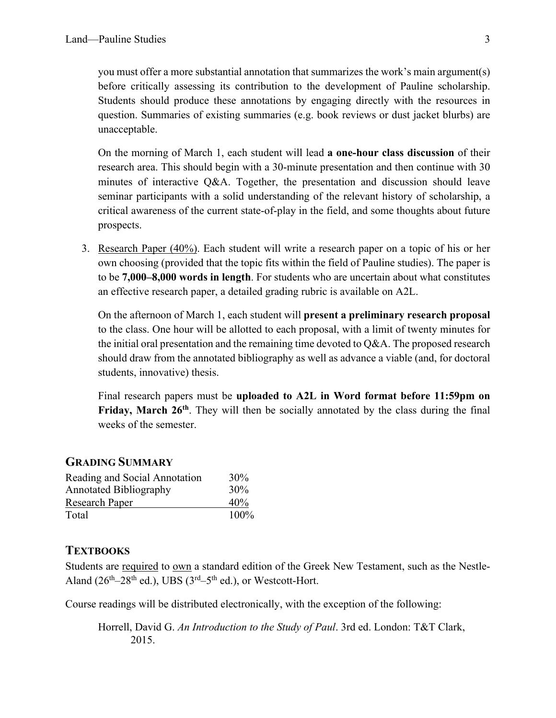you must offer a more substantial annotation that summarizes the work's main argument(s) before critically assessing its contribution to the development of Pauline scholarship. Students should produce these annotations by engaging directly with the resources in question. Summaries of existing summaries (e.g. book reviews or dust jacket blurbs) are unacceptable.

On the morning of March 1, each student will lead **a one-hour class discussion** of their research area. This should begin with a 30-minute presentation and then continue with 30 minutes of interactive Q&A. Together, the presentation and discussion should leave seminar participants with a solid understanding of the relevant history of scholarship, a critical awareness of the current state-of-play in the field, and some thoughts about future prospects.

3. Research Paper (40%). Each student will write a research paper on a topic of his or her own choosing (provided that the topic fits within the field of Pauline studies). The paper is to be **7,000–8,000 words in length**. For students who are uncertain about what constitutes an effective research paper, a detailed grading rubric is available on A2L.

On the afternoon of March 1, each student will **present a preliminary research proposal** to the class. One hour will be allotted to each proposal, with a limit of twenty minutes for the initial oral presentation and the remaining time devoted to  $Q&A$ . The proposed research should draw from the annotated bibliography as well as advance a viable (and, for doctoral students, innovative) thesis.

Final research papers must be **uploaded to A2L in Word format before 11:59pm on**  Friday, March 26<sup>th</sup>. They will then be socially annotated by the class during the final weeks of the semester.

#### **GRADING SUMMARY**

| Reading and Social Annotation | 30%  |
|-------------------------------|------|
| <b>Annotated Bibliography</b> | 30%  |
| <b>Research Paper</b>         | 40%  |
| Total                         | 100% |

#### **TEXTBOOKS**

Students are required to own a standard edition of the Greek New Testament, such as the Nestle-Aland ( $26<sup>th</sup>-28<sup>th</sup>$  ed.), UBS ( $3<sup>rd</sup>-5<sup>th</sup>$  ed.), or Westcott-Hort.

Course readings will be distributed electronically, with the exception of the following:

Horrell, David G. *An Introduction to the Study of Paul*. 3rd ed. London: T&T Clark, 2015.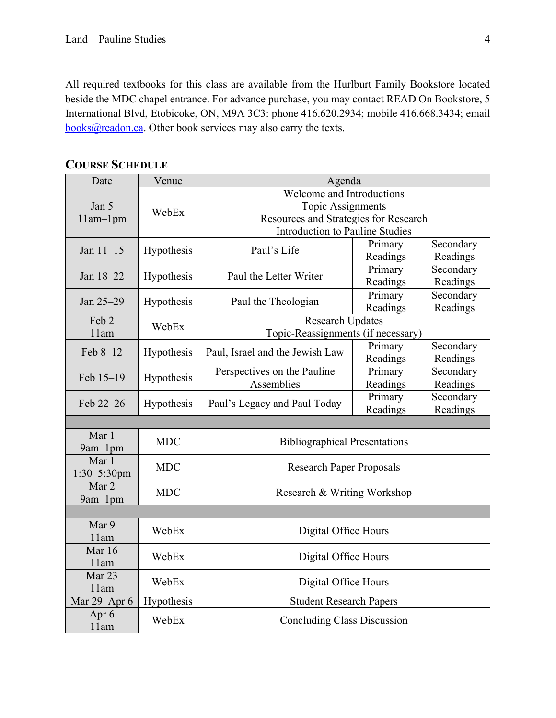All required textbooks for this class are available from the Hurlburt Family Bookstore located beside the MDC chapel entrance. For advance purchase, you may contact READ On Bookstore, 5 International Blvd, Etobicoke, ON, M9A 3C3: phone 416.620.2934; mobile 416.668.3434; email books@readon.ca. Other book services may also carry the texts.

| Date                      | Venue      | Agenda                                                                                                                            |                     |                       |  |
|---------------------------|------------|-----------------------------------------------------------------------------------------------------------------------------------|---------------------|-----------------------|--|
| Jan 5<br>$11am-1pm$       | WebEx      | Welcome and Introductions<br>Topic Assignments<br>Resources and Strategies for Research<br><b>Introduction to Pauline Studies</b> |                     |                       |  |
| Jan $11-15$               | Hypothesis | Paul's Life                                                                                                                       | Primary<br>Readings | Secondary<br>Readings |  |
| Jan 18-22                 | Hypothesis | Paul the Letter Writer                                                                                                            | Primary<br>Readings | Secondary<br>Readings |  |
| Jan 25-29                 | Hypothesis | Paul the Theologian                                                                                                               | Primary<br>Readings | Secondary<br>Readings |  |
| Feb 2<br>11am             | WebEx      | Research Updates<br>Topic-Reassignments (if necessary)                                                                            |                     |                       |  |
| Feb 8-12                  | Hypothesis | Paul, Israel and the Jewish Law                                                                                                   | Primary<br>Readings | Secondary<br>Readings |  |
| Feb 15-19                 | Hypothesis | Perspectives on the Pauline<br>Assemblies                                                                                         | Primary<br>Readings | Secondary<br>Readings |  |
| Feb 22-26                 | Hypothesis | Paul's Legacy and Paul Today                                                                                                      | Primary<br>Readings | Secondary<br>Readings |  |
|                           |            |                                                                                                                                   |                     |                       |  |
| Mar 1<br>9am-1pm          | <b>MDC</b> | <b>Bibliographical Presentations</b>                                                                                              |                     |                       |  |
| Mar 1<br>$1:30 - 5:30$ pm | <b>MDC</b> | <b>Research Paper Proposals</b>                                                                                                   |                     |                       |  |
| Mar 2<br>9am-1pm          | <b>MDC</b> | Research & Writing Workshop                                                                                                       |                     |                       |  |
|                           |            |                                                                                                                                   |                     |                       |  |
| Mar 9<br>11am             | WebEx      | Digital Office Hours                                                                                                              |                     |                       |  |
| Mar 16<br>11am            | WebEx      | Digital Office Hours                                                                                                              |                     |                       |  |
| Mar 23<br>11am            | WebEx      | Digital Office Hours                                                                                                              |                     |                       |  |
| Mar 29-Apr 6              | Hypothesis | <b>Student Research Papers</b>                                                                                                    |                     |                       |  |
| Apr 6<br>11am             | WebEx      | <b>Concluding Class Discussion</b>                                                                                                |                     |                       |  |

**COURSE SCHEDULE**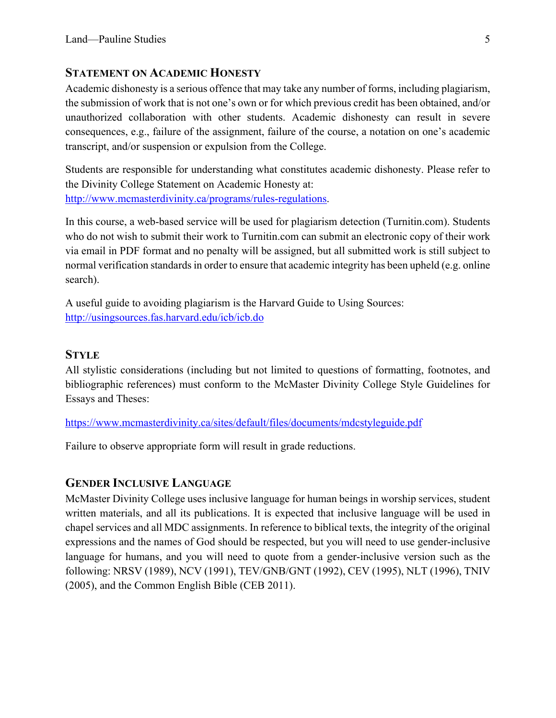#### **STATEMENT ON ACADEMIC HONESTY**

Academic dishonesty is a serious offence that may take any number of forms, including plagiarism, the submission of work that is not one's own or for which previous credit has been obtained, and/or unauthorized collaboration with other students. Academic dishonesty can result in severe consequences, e.g., failure of the assignment, failure of the course, a notation on one's academic transcript, and/or suspension or expulsion from the College.

Students are responsible for understanding what constitutes academic dishonesty. Please refer to the Divinity College Statement on Academic Honesty at: http://www.mcmasterdivinity.ca/programs/rules-regulations.

In this course, a web-based service will be used for plagiarism detection (Turnitin.com). Students who do not wish to submit their work to Turnitin.com can submit an electronic copy of their work via email in PDF format and no penalty will be assigned, but all submitted work is still subject to normal verification standards in order to ensure that academic integrity has been upheld (e.g. online search).

A useful guide to avoiding plagiarism is the Harvard Guide to Using Sources: http://usingsources.fas.harvard.edu/icb/icb.do

## **STYLE**

All stylistic considerations (including but not limited to questions of formatting, footnotes, and bibliographic references) must conform to the McMaster Divinity College Style Guidelines for Essays and Theses:

https://www.mcmasterdivinity.ca/sites/default/files/documents/mdcstyleguide.pdf

Failure to observe appropriate form will result in grade reductions.

#### **GENDER INCLUSIVE LANGUAGE**

McMaster Divinity College uses inclusive language for human beings in worship services, student written materials, and all its publications. It is expected that inclusive language will be used in chapel services and all MDC assignments. In reference to biblical texts, the integrity of the original expressions and the names of God should be respected, but you will need to use gender-inclusive language for humans, and you will need to quote from a gender-inclusive version such as the following: NRSV (1989), NCV (1991), TEV/GNB/GNT (1992), CEV (1995), NLT (1996), TNIV (2005), and the Common English Bible (CEB 2011).